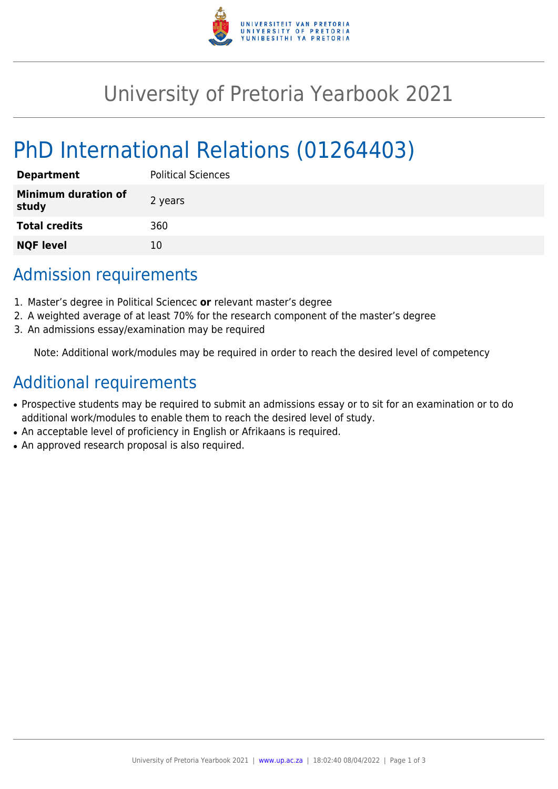

## University of Pretoria Yearbook 2021

# PhD International Relations (01264403)

| <b>Department</b>                   | <b>Political Sciences</b> |
|-------------------------------------|---------------------------|
| <b>Minimum duration of</b><br>study | 2 years                   |
| <b>Total credits</b>                | 360                       |
| <b>NQF level</b>                    | 10                        |

## Admission requirements

- 1. Master's degree in Political Sciencec **or** relevant master's degree
- 2. A weighted average of at least 70% for the research component of the master's degree
- 3. An admissions essay/examination may be required

Note: Additional work/modules may be required in order to reach the desired level of competency

## Additional requirements

- Prospective students may be required to submit an admissions essay or to sit for an examination or to do additional work/modules to enable them to reach the desired level of study.
- An acceptable level of proficiency in English or Afrikaans is required.
- An approved research proposal is also required.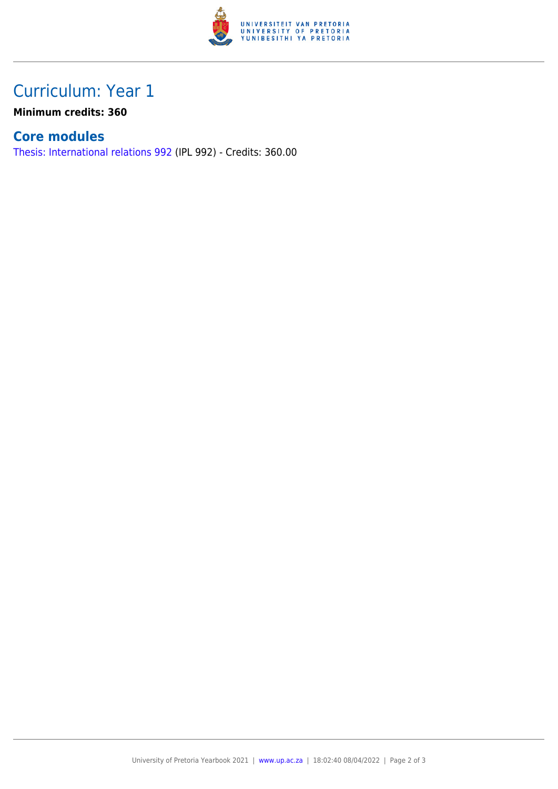

## Curriculum: Year 1

**Minimum credits: 360**

#### **Core modules**

[Thesis: International relations 992](https://www.up.ac.za/faculty-of-education/yearbooks/2021/modules/view/IPL 992) (IPL 992) - Credits: 360.00